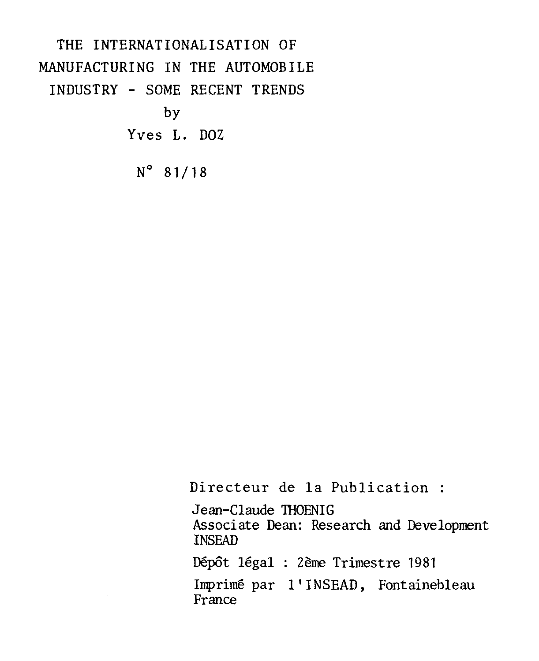# THE INTERNATIONALISATION OF MANUFACTURING IN THE AUTOMOBILE INDUSTRY - SOME RECENT TRENDS by Yves L. DOZ  $N^{\circ}$  81/18

Directeur de la Publication :

Jean-Claude THOENIG Associate Dean: Research and Development **INSEAD** 

Dépôt légal : 2ème Trimestre 1981

Imprimé par l'INSEAD, Fontainebleau France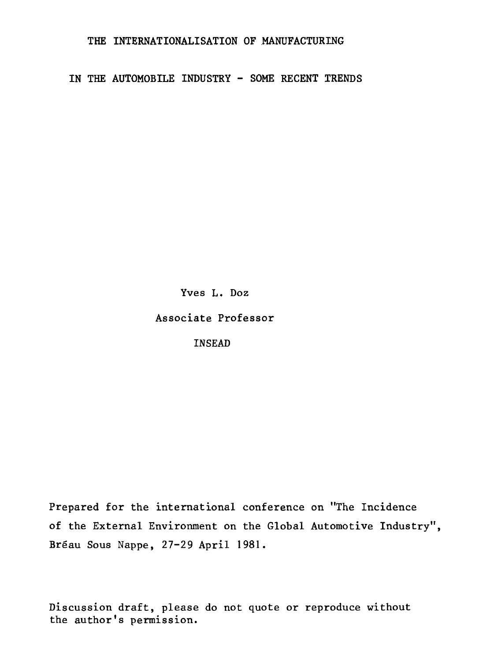THE INTERNATIONALISATION OF MANUFACTURING

IN THE AUTOMOBILE INDUSTRY - SOME RECENT TRENDS

Yves L. Doz

Associate Professor

**INSEAD** 

Prepared for the international conference on "The Incidence of the External Environment on the Global Automotive Industry", Bréau Sous Nappe, 27-29 April 1981.

Discussion draft, please do not quote or reproduce without the author's permission.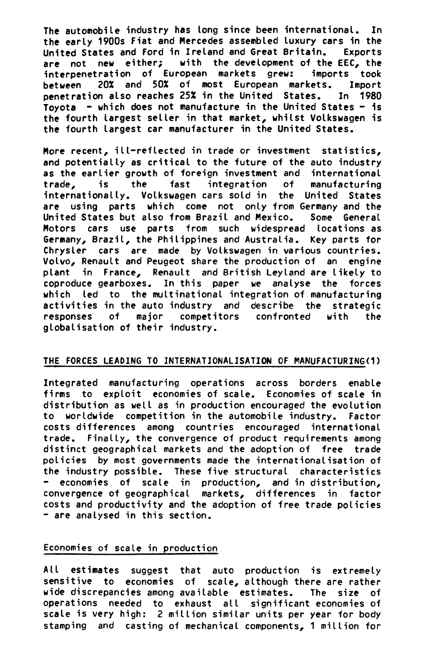**The automobile industry has long since been international. In the early 1900s Fiat and Mercedes assembled luxury cars in the United States and Ford in Ireland and Great Britain. Exports are not new either; with the development of the EEC, the**  interpenetration of European markets grew: **between 20% and 50% of most European markets. Import penetration also reaches 25% in the United States. In 1980 Toyota - which does not manufacture in the United States - is the fourth largest seller in that market, whitst Volkswagen is the fourth largest car manufacturer in the United States.** 

**More recent, ill-reflected in trade or investment statistics, and potentially as critical to the future of the auto industry as the earlier growth of foreign investment and international trade, is the fast integration of manufacturing internationally. Volkswagen cars sold in the United States**  are using parts which come not only from Germany and the **United States but also from Brazil and Mexico. Some General Motors cars use parts from such widespread locations as Germany, Brazil, the Philippines and Australia. Key parts for Chryster cars are made by Volkswagen in various countries. Volvo, Renault and Peugeot share the production of an engine plant in France, Renault and British Leyland are likely to coproduce gearboxes. In this paper we analyse the forces which led to the multinational integration of manufacturing activities in the auto industry and describe the strategic responses of major competitors confronted with the globalisation of their industry.** 

## **THE FORCES LEADING TO INTERNATIONALISATION OF MANUFACTURING(1)**

**Integrated manufacturing operations across borders enable firms to exploit economies of scale. Economies of scale in distribution as well as in production encouraged the evolution to worldwide competition in the automobile industry. Factor costs differences among countries encouraged international trade. Finally, the convergence of product requirements among distinct geographical markets and the adoption of free trade policies by most governments made the internationalisation of the industry possible. These five structural characteristics - economies of scale in production, and in distribution, convergence of geographical markets, differences in factor costs and productivity and the adoption of free trade policies - are analysed in this section.** 

## **Economies of scale in production**

**All estimates suggest that auto production is extremely sensitive to economies of scale, although there are rather wide discrepancies among available estimates. The size of operations needed to exhaust all significant economies of scale is very high: 2 million similar units per year for body stamping and casting of mechanical components, 1 million for**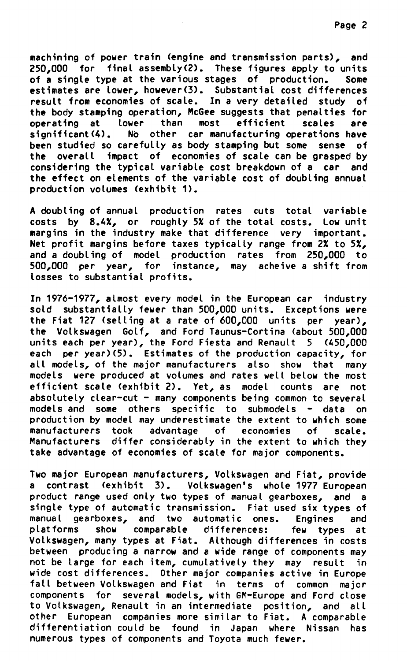**machining of power train (engine and transmission parts), and 250,000 for final assembly(2). These figures apply to units of a single type at the various stages of production. Some estimates are lower, however(3). Substantiel cost differences**  result from economies of scale. In a very detailed study of **the body stamping operation, McGee suggests that penalties for operating at lower than most efficient scales are significant(4). No other car manufacturing operations have been studied so carefully as body stamping but some sense of the overall impact of economies of scale can be grasped by considering the typical variable cost breakdown of a car and the effect on elements of the variable cost of doubling annuel production volumes (exhibit 1).** 

**A doubling of annuel production rates cuts total variable costs by 8.4%, or roughly 5% of the total costs. Low unit margins in the industry make that difference very important. Net profit margins before taxes typically range from 2% to 5%, and a doubling of model production rates from 250,000 to 500,000 per year, for instance, may acheive a shift from tosses to substantiel profits.** 

**In 1976-1977, almost every model in the European car industry sold substantially fewer than 500,000 units. Exceptions were the Fiat 127 (selling at a rate of 600,000 units per year), the Volkswagen Golf, and Ford Taunus-Cortina (about 500,000 units each per year), the Ford Fiesta and Renault 5 (450,000 each per year)(5). Estimates of the production capacity, for all models, of the major manufacturers also show that many models were produced at volumes and rates well below the most efficient scale (exhibit 2). Yet, as model counts are not absolutely clear-cut - many components being common to several models and some others specific to submodels - data on production by model may underestimate the extent to which some manufacturers took advantage of economies of scale. Manufacturers differ considerably in the extent to which they take advantage of economies of scale for major components.** 

**Two major European manufacturers, Volkswagen and Fiat, provide a contrast (exhibit 3). Volkswagen's whole 1977 European product range used only two types of manual gearboxes, and a single type of automatic transmission. Fiat used six types of manual gearboxes, and two automatic ones. Engines and platforms show comparable differences: few types at Volkswagen, many types at Fiat. Although differences in costs between producing a narrow and a wide range of components may not be large for each item, cumulatively they may result in wide cost differences. Other major companies active in Europe fall between Volkswagen and Fiat in terms of common major components for several models, with GM-Europe and Ford close to Volkswagen, Renault in an intermediate position, and all other European companies more similar to Fiat. A comparable differentiation could be found in Japan where Nissan has numerous types of components and Toyota much fewer.**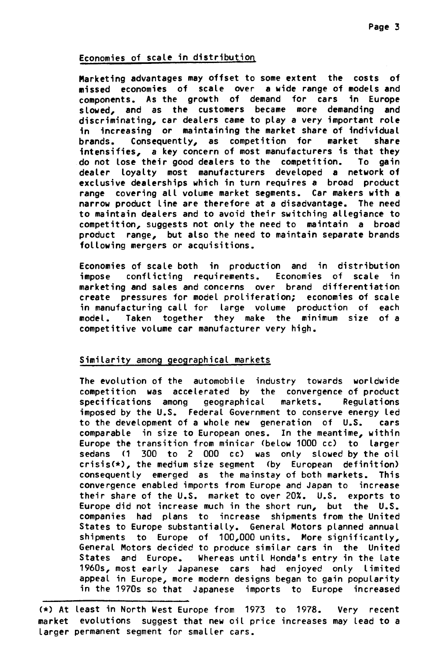# **Economies of scale in distribution**

**Marketing advantages may offset to some extent the costs of missed economies of scale over a vide range of models and components. As the growth of demand for cars in Europe slowed, and as the customers became more demanding and discriminating, car dealers came to play a very important rote in increasing or maintaining the market share of individuel brands. Consequently, as competition for market share intensifies, a key concern of most manufacturers is that they do not Jose their good dealers to the competition. To gain dealer loyalty most manufacturers developed a network of exclusive dealerships which in turn requires a broad product range covering all volume market segments. Car makers with a narrow product line are therefore at a disadvantage. The need to maintain dealers and to avoid their switching allegiance to competition, suggests not only the need to maintain a broad product range, but also the need to maintain separate brands following mergers or acquisitions.** 

**Economies of scale both in production and in distribution impose conflicting requirements. Economies of scale in marketing and sales and concerns over brand differentiation create pressures for model proliferation; economies of scale in manufacturing call for large volume production of each model. Taken together they make the minimum size of a competitive volume car manufacturer very high.** 

# **Similarity among geographical markets**

**The evolution of the automobile industry towards worldwide competition was accelerated by the convergence of product geographical markets. imposed by the U.S. Federal Government to conserve energy led to the development of a whole new generation of U.S. cars comparable in size to European ones. In the meantime, within Europe the transition from minicar (below 1000 cc) to larger**  sedans (1 300 to 2 000 cc) was only slowed by the oil **crisis(\*), the medium size segment (by European definition) consequently emerged as the mainstay of both markets. This convergence enabled imports from Europe and Japan to increase their share of the U.S. market to over 20%. U.S. exports to Europe did not increase much in the short run, but the U.S. companies had plans to increase shipments from the United States to Europe substantially. General Motors planned annuel shipments to Europe of 100,000 units. More significantly, General Motors decided to produce simitar cars in the United States and Europe. Whereas until Honda's entry in the tate 1960s, most early Japanese cars had enjoyed only limited appeal in Europe, more modern designs began to gain popularity in the 1970s so that Japanese imports to Europe increased** 

**east in North West Europe from 1973 to 1978. Very recent**  market evolutions suggest that new oil price increases may lead to a larger permanent segment for smaller cars.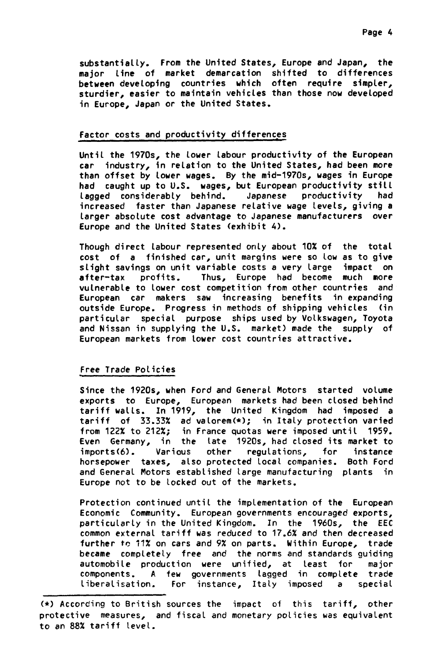substantially. From the United States, Europe and Japan, the **or line of market demarcation shifted to differences ween developing countries which often require simpler, rdier, easier to maintain vehictes than those now developed Europe, Japan or the United States.** 

#### **tor costs and productivity differences**

Until the 1970s, the lower labour productivity of the European **industry, in relation to the United States, had been more n offset by tower wages. By the mid-1970s, wages in Europe caught up to U.S. wages, but European productivity stilt ged considerably behind. Japanese productivity had reased farter than Japanese relative wage tevels, giving a ger absolute cost advantage to Japanese manufacturers over ope and the United States (exhibit 4).** 

**ugh direct labour represented onty about 10% of the total t of a finished car, unit margins were so low as to give ght savings on unit variable** costs **a very large impact on er-tax profits. Thus, Europe had become much more nerable to lower cost competition from other countries and opean car makers saw increasing benefits in expanding side Europe. Progress in methods of shipping vehictes (in ticular special purpose ships used by Volkswagen, Toyota Nissan in supplying the U.S. market) made the supply of opean markets from lower cost countries attractive.** 

## **e Trade Policies**

**ce the 1920s, when Ford and General Motors started volume**  orts to Europe, European markets-had-been-closed-behind<br>iff-walls . In 1919, the United Kingdom, had imposed a tariff of 33.33% ad valorem(\*); in Italy protection varied **m 122% to 212%; in France quotas were imposed until 1959. n Germany, in the tate 1920s, had closed its market to orts(6). Various other regulations, for instance sepower taxes, also protected local companies. Both Ford General Motors established large manufacturing plants in ope not to be tocked out of the markets.** 

Protection continued until the implementation of the European **nomic Community. European governments encouraged exports, ticularty in the United Kingdom. In the 1960s, the EEC mon externat tariff was reduced to 17.6% and then decreased ther** to 11% **on cars and 9% on parts. Within Europe, trade ame completely free and the norms and standards guiding**  automobile production were unified, at least for major **ponents. A few governments lagged in complete trade eralisation. For** instance, Italy imposed a special

 $(*)$  According to British sources the impact of this tariff, other protective measures, and fiscal and monetary policies was equivalent to an 88% tariff level.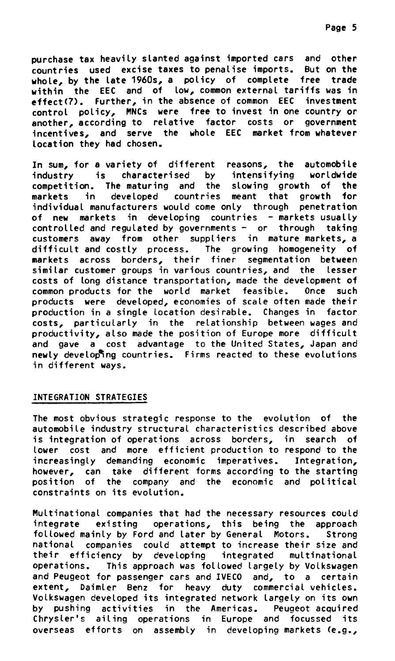**purchase tax heavity stanted against imported cars and other countries used excise taxes to penalise imports. But on the whole, by the tate 1960s, a policy of complete free trade**  within the EEC and of low, common external tariffs was in **effect(7). Further, in the absence of common EEC investment control policy, MNCs were free to invest in one country or another, according to relative factor costs or government incentives, and serve the whote EEC market from whatever location they had chosen.** 

**In sum, for a variety of different reasons, the automobile industry is characterised by intensifying worldwide competition. The maturing and the stowing growth of the markets in devetoped countries meant that growth for**  individual manufacturers would come only through penetration of new markets in developing countries - markets usually controlled and regulated by governments - or through taking customers away from other supptiers in mature markets, a difficult and costly process. The growing homogeneity of markets across borders, their finer segmentation between similar customer groups in various countries, and the lesser costs of **long** distance transportation, made the development of common products for the world market feasibte. Once such products were developed, economies of scale often made their production in a single location desirable. Changes in factor costs, particularly in the relationship between wages and productivity, also made the position of Europe more difficult and gave a cost advantage to the United States, Japan and newly developing countries. Firms reacted to these evolutions in different ways.

# INTEGRATION STRATEGIES

The most obvious strategic response to the evolution **of the**  automobile industry structural characteristics described above is integration of operations across borders, in search of lower cost and more efficient production to respond to the increasingly demanding economic imperatives. Integration, however, can take different forms according to the starting position of the company and the economic and political constraints on its evolution.

Multinational companies that had the necessary resources could integrate existing operations, this being the approach followed mainly by Ford and later by General Motors. Strong national companies could attempt to increase their size and their efficiency by developing integrated multinational operations. This approach was fotlowed largely by Volkswagen and Peugeot for passenger cars and IVECO and, to a certain extent, Daimler Benz for heavy duty commercial vehicles. Volkswagen developed its integrated network largely on its own by pushing activities in the Americas. Peugeot acquired Chrysler's ailing operations in Europe and focussed its overseas efforts on assembly in developing markets (e.g.,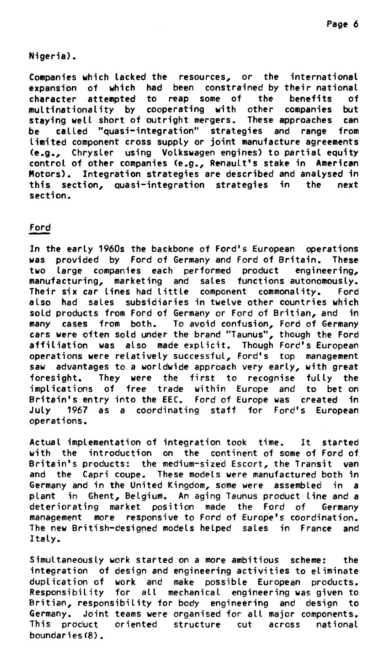# **Nigeria).**

**Companies which tacked the resources, or the international expansion of which had been constrained by their national character attempted to reap some of the benefits of multinationality by cooperating with other companies but staying well short of outright mergers. These approaches can be called "quasi-integration" strategies and range from limited component cross supply or joint manufacture agreements (e.g., Chrysler using Volkswagen engines) to partial equity control of other companies (e.g., Renault's stake in American Motors). Integration strategies are described and analysed in this section, quasi-integration strategies in the next section.** 

# **Ford**

**In the early 1960s the backbone of Ford's European operations was provided by Ford of Germany and Ford of Britain. These two large companies each performed product engineering, manufacturing, marketing and sales functions autonomously. Their six car fines had Little component commonality. Ford atso had sales subsidiaries in twetve other countries which sold products from Ford of Germany or Ford of Britian, and in many cases from both. To avoid confusion, Ford of Germany cars were often sold under the Brand "Taunus", though the Ford affiliation was atso made explicit. Though Ford's European operations were relatively successful, Ford's top management saw advantages to a worldwide approach very earty, with great foresight. They were the first to recognise fully the implications of free trade within Europe and to bet on Britain's entry into the EEC. Ford of Europe was created in Juty 1967 as a coordinating staff for Ford's European operations.** 

**Actuat implementation of integration took time. It started with the introduction on the continent of some of Ford of Britain's products: the medium-sized Escort, the Transit van and the Capri coupe. These models were manufactured both in Germany and in the United Kingdom, some were assembled in a plant in Ghent, Belgium. An aging Taunus product line and a deteriorating market position made the Ford of Germany management more responsive to Ford of Europe's coordination. The new British-designed models helped sales in France and Italy.** 

**Simultaneously work started on a more ambitious scheme: the integration of design and engineering activities to eliminate duplication of work and make possible European products. Responsibility for all mechanical engineering was given to Britian, responsibility for body engineering and design to Germany. Joint teams were organised for all major components. This product oriented structure cut across national boundaries(8).**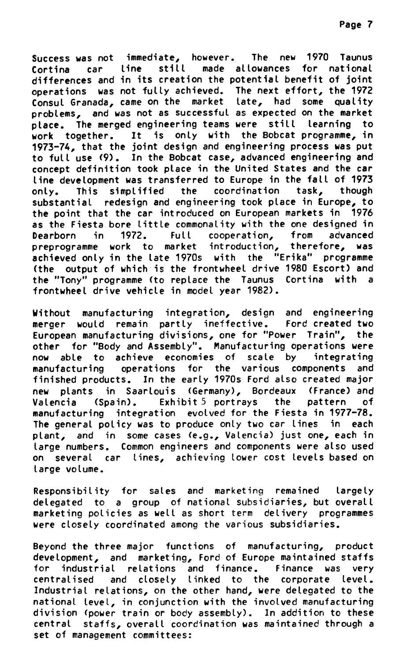**Success was not immediate, however. The new 1970 Taunus Cortina car line still made allowances for national differences and in its creation the potential benefit of joint operations was not fully achieved. The next effort, the 1972 Consul Granada, came on the market tate, had some quality problems, and was not as successful as expected on the market place. The merged engineering teams were stil( learning to work together. It is only with the Bobcat programme, in 1973-74, that the joint design and engineering process was put to full use (9). In the Bobcat case, advanced engineering and concept definition took place in the United States and the car line development was transferred to Europe in the fall of 1973**  only. This simplified the coordination task, **substantial redesign and engineering took place in Europe, to the point that the car introduced on European markets in 1976 as the Fiesta bore Little commonatity with the one designed in Dearborn in 1972. Full cooperation, from advanced preprogramme work to market introduction, therefore, was achieved only in the tate 1970s with the "Erika" programme (the output of which is the frontwheel drive 1980 Escort) and the "Tony" programme (to replace the Taunus Cortina with a frontwheel drive vehicle in modet year 1982).** 

**Without manufacturing integration, design and engineering merger would remain partty ineffective. Ford created two European manufacturing divisions, one for "Power Train", the other for "Body and Assembly". Manufacturing operations were**  now able to achieve economies of scale by **manufacturing operations for the various components and finished products. In the early 1970s Ford also created major new plants in Saartouis (Germany), Bordeaux (France) and Valencia (Spain). Exhibit** 5 **portrays the pattern of manufacturing integration evotved for the Fiesta in 1977-78.**  The general policy was to produce only two car lines in each plant, and in some cases (e.g., Valencia) just one, each in large numbers. Common engineers and components were also used on several car fines, achieving lower cost tevels based on large volume.

Responsibility for sales and marketing remained largely delegated to a group of national subsidiaries, but overall marketing policies as well as short term delivery programmes were closely coordinated among the various **subsidiaries.** 

**Beyond the three major fonctions of manufacturing, product development, and marketing,** Ford of Europe maintained staffs industrial relations and finance. Finance was very centralised and closely linked to the corporate levet-Industrial relations, on the other hand, were delegated to the national Level, in conjunction with the involved manufacturing division (power train or body assembly). In addition to these central staffs, overall coordination was maintained through a set of management committees: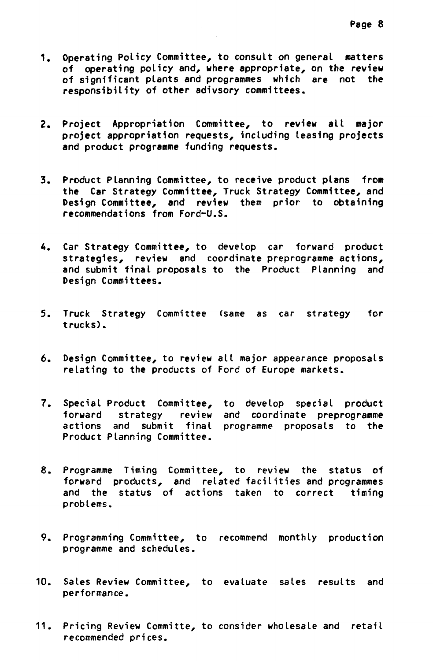- **1. Operating Policy Committee, to consult on general matters of operating policy and, where appropriate, on the review of significant plants and programmes which are not the responsibility of other adivsory committees.**
- **2. Project Appropriation Committee, to review ait major project appropriation requests, including leasing projects and product programme funding requests.**
- **3. Product Planning Committee, to receive product plans from the Car Strategy Committee, Truck Strategy Committee, and Design Committee, and review them prior to obtaining recommendations from Ford-U.S.**
- **4. Car Strategy Committee, to develop car forward product strategies, review and coordinate preprogramme actions, and submit final proposais to the Product Planning and Design Committees.**
- **5. Truck Strategy Committee (same as car strategy for trucks).**
- **6. Design Committee, to review ail major appearance proposais relating to the products of Ford of Europe markets.**
- **7. Special Product Committee, to develop speciat product forward strategy review and coordinate preprogramme actions and submit final programme proposais to the Product Planning Committee.**
- **8. Programme Timing Committee, to review the status of forward products, and related facilities and programmes and the status of actions taken to correct timing problems.**
- **9. Programming Committee, to recommend monthly production programme and schedules.**
- **10. Sales Review Committee, to evaluate sales results and performance.**
- **11. Pricing Review Committe, to consider wholesale and retail recommended prices.**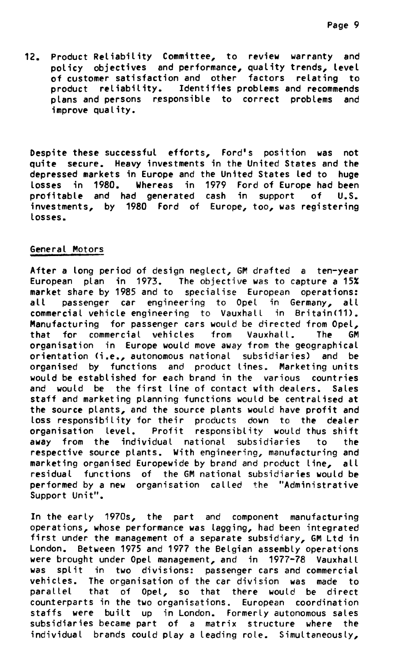**12. Product Reliability Committee, to review warranty and policy objectives and performance, quality trends, Level of customer satisfaction and other factors relating to product reliability. Identifies problems and recommends plans and persans responsible to correct problems and improve quality.** 

Despite these successful efforts, Ford's position was not **quite secure. Heavy investments in the United States and the depressed markets in Europe and the United States led to huge tosses in 1980. Whereas in 1979 Ford of Europe had been profitable and had generated cash in support of U.S. investments, by 1980 Ford of Europe, too, was registering tosses.** 

#### **General Motors**

**After a long period of design neglect, GM drafted a ten-year European plan in 1973.** The objective was to capture a **15% market share by 1985 and to** specialise European operations: passenger car engineering to Opel in Germany, all **commercial vehicle engineering** te Vauxhall in Britain(11). Manufacturing for passenger cars would be directed **from Opel, that for commercial vehicles** from Vauxhall. **The GM organisation in Europe would move** away from the geographical orientation (i.e., autonomous national subsidiaries) and be organised by functions and product lines. Marketing units would be estabtished for each brand in the various countries and would be the first line of contact with dealers. Sales staff and marketing planning functions would be centralised **at the source plants, and the source plants wouid have profit and loss responsibility for** their products down to the dealer organisation levet. Profit responsiblity would thus **shift away from the individual** national subsidiaries to the **respective source plants. With** engineering, manufacturing and marketing organised Europewide by brand and product line, all residual functions of the GM national subsidiaries would be performed by **a new organisation** called the **"Administrative Support Unit".** 

In the early 1970s, the part and component manufacturing **operations, whose performance** was tagging, had been integrated first under the management of a separate subsidiary, GM Ltd in London. Between 1975 and 1977 the Belgian assembly operations were brought under Opel management, and in 1977-78 Vauxhall was split in two divisions: passenger cars and commercial vehicles. The organisation of the car division was made to<br>parallel that of Opel, so that there would be direct that of Opel, so that there would be direct **counterparts in the two organisations. European coordination staffs were built up in London. Formerly autonomous sales subsidiaries became part of a matrix structure where the individual brands could play a** leading rote. Simultaneously,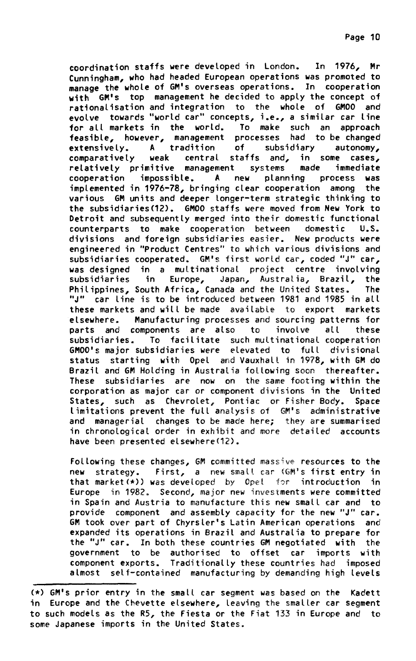In 1976, coordination staffs were developed in London. Mr Cunningham, who had headed European operations was promoted to manage the whole of GM's overseas operations. In cooperation with GM's top management he decided to apply the concept of rationalisation and integration to the whole of GM00 and evolve towards "world car" concepts, i.e., a similar car line for all markets in the world. To make such an approach feasible, however, management processes had to be changed A tradition of subsidiary extensively. autonomy, weak central staffs and, in some cases, comparatively relatively primitive management systems made immediate planning cooperation impossible. A new process was implemented in 1976-78, bringing clear cooperation among the various GM units and deeper longer-term strategic thinking to the subsidiaries (12). GM00 staffs were moved from New York to Detroit and subsequently merged into their domestic functional counterparts to make cooperation between domestic  $U.S.$ divisions and foreign subsidiaries easier. New products were engineered in "Product Centres" to which various divisions and subsidiaries cooperated. GM's first world car, coded "J" car, was designed in a multinational project centre involving subsidiaries in Europe, Japan, Australia, Brazil, the Philippines, South Africa, Canada and the United States. The "J" car line is to be introduced between 1981 and 1985 in all these markets and will be made available to export markets elsewhere. Manufacturing processes and sourcing patterns for parts and components are also to involve all these subsidiaries. To facilitate such multinational cooperation GM00's major subsidiaries were elevated to full divisional status starting with Opel and Vauxhall in 1978, with GM do Brazil and GM Holding in Australia following soon thereafter. These subsidiaries are now on the same footing within the corporation as major car or component divisions in the United States, such as Chevrolet, Pontiac or Fisher Body. Space<br>limitations prevent the full analysis of GM's administrative and managerial changes to be made here; they are summarised in chronological order in exhibit and more detailed accounts have been presented elsewhere(12).

Following these changes, GM committed massive resources to the First, a new small car (GM's first entry in new strategy. that market $(*)$ ) was developed by Opel for introduction in Europe in 1982. Second, major new investments were committed in Spain and Austria to manufacture this new small car and to provide component and assembly capacity for the new "J" car. GM took over part of Chyrsler's Latin American operations and expanded its operations in Brazil and Australia to prepare for the "J" car. In both these countries GM negotiated with the government to be authorised to offset car imports with component exports. Traditionally these countries had imposed almost self-contained manufacturing by demanding high levels

<sup>(\*)</sup> GM's prior entry in the small car segment was based on the Kadett in Europe and the Chevette elsewhere, leaving the smaller car segment to such models as the R5, the Fiesta or the Fiat 133 in Europe and to some Japanese imports in the United States.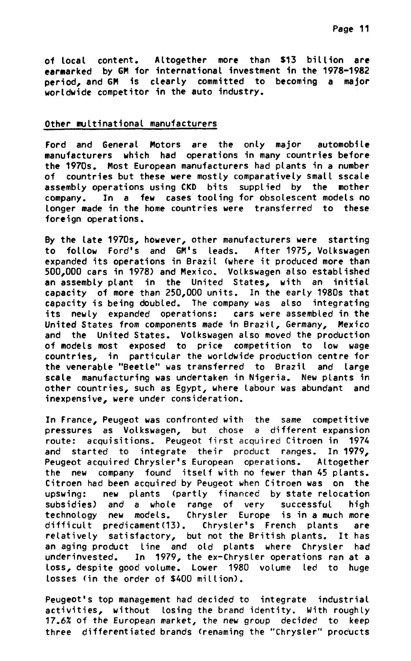of local content. Altogether more than \$13 billion are earmarked by GM for international investment in the 1978-1982 period, and GM is clearly committed to becoming a major worldwide competitor in the auto industry.

# Other multinational manufacturers

Ford and General Motors are the only major automobile manufacturers which had operations in many countries before the 1970s. Most European manufacturers had plants in a number of countries but these were mostly comparatively small sscale assembly operations using CKD bits supplied by the mother company. In a few cases tooling for obsolescent models no longer made in the home countries were transferred to these foreign operations.

By the late 1970s, however, other manufacturers were starting to follow Ford's and GM's leads. After 1975, Volkswagen expanded its operations in Brazil (where it produced more than 500,000 cars in 1978) and Mexico. Volkswagen also established an assembly plant in the United States, with an initial capacity of more than 250,000 units. In the early 1980s that capacity is being doubled. The company was also integrating its newly expanded operations: cars were assembled in the United States from components made in Brazil, Germany, Mexico and the United States. Volkswagen also moved the production of models most exposed to price competition to low wage countries, in particular the worldwide production centre for the venerable "Beetle" was transferred to Brazil and large scale manufacturing was undertaken in Nigeria. New plants in other countries, such as Egypt, where labour was abundant and inexpensive, were under consideration.

In France, Peugeot was confronted with the same competitive pressures as Volkswagen, but chose a different expansion route: acquisitions. Peugeot first acquired Citroen in 1974 and started to integrate their product ranges. In 1979, Peugeot acquired Chrysler's European operations. Altogether the new company found itself with no fewer than 45 plants. Citroen had been acquired by Peugeot when Citroen was on the upswing: new plants (partly financed by state relocation subsidies) and a whole range of very successful high models. Chrysler Europe is in a much more technology new difficult predicament(13). Chrysler's French plants are relatively satisfactory, but not the British plants. It has an aging product line and old plants where Chrysler had underinvested. In 1979, the ex-Chryster operations ran at a loss, despite good volume. Lower 1980 volume led to huge losses (in the order of \$400 million).

Peugeot's top management had decided to integrate industrial activities, without losing the brand identity. With roughly 17.6% of the European market, the new group decided to keep three differentiated brands (renaming the "Chrysler" products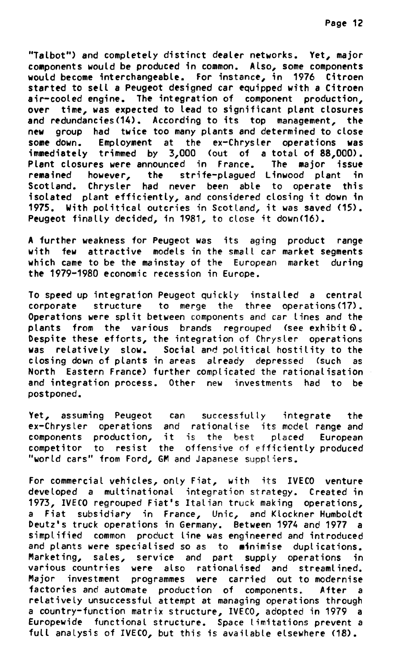**"Talbot") and comptetely distinct dealer networks. Yet, major components would be produced in common. Also, some components would become interchangeable. For instance, in 1976 Citroen started to self a Peugeot designed car equipped with a Citroen air-cooted engins. The integration of component production, over time, was expected to lead to significant plant ctosures and redundancies(14). According to its top management, the new group had twice too many plants and determined to close some down. Employment at the ex-Chrysler operations was immediately trimmed by 3,000 (out of a total of 88,000). Plant ctosures were announced in France. The major issue remained however, the strife-plagued Linwood plant in Scotland. Chryster had never been able to operate this isotated plant efficiently, and considered closing it down in 1975. With political outcries in Scotland, it was saved (15). Peugeot finalty decided, in 1981, to close it down(16).** 

**A further weakness for Peugeot was** its aging product **range with few attractive models in the small car market segments which came to be the mainstay of the European market during the 1979-1980 economic recession in Europe.** 

**To speed up integration** Peugeot quickty installed a central corporate structure to merge the three operations(17). Operations were split between components and car lines and the plants from the various brands regrouped (see exhibit Q. Despite these efforts, the integration of Chrysler operations was relatively slow. Social and political hostility to the closing down of plants in areas already depressed (such as North Eastern France) further compticated the **rationalisation and integration process.** Other new investments had to be postponed.

Yet, assuming Peugeot can successfully integrate the ex-Chrysler operations and rationalise its model **range and**  components production, it is the best placed European competitor to resist the offensive of efficiently produced **"world cars" from Ford, GM** and Japanese supptiers.

For commercial **vehicles,** only Fiat, with its IVECO venture developed a multinational integration strategy. Created in 1973, IVECO regrouped Fiat's Italian truck making operations, **a** Fiat subsidiary **in France,** Unic, and Klockner Humboldt Deutz's truck operations in Germany. Between 1974 and 1977 a simplified common product line was engineered and introduced and plants were specialised so as to minimise duplications. Marketing, sales, service and part **supply operations in**  various countries were also rationalised and streamtined. Major investment programmes were carried out to modernise factories and automate production of components. After a relatively unsuccessfut attempt at managing operations through a country-function matrix structure, IVECO, adopted in 1979 a Europewide functional structure. Space limitations prevent a full analysis of IVECO, but this is available elsewhere (18).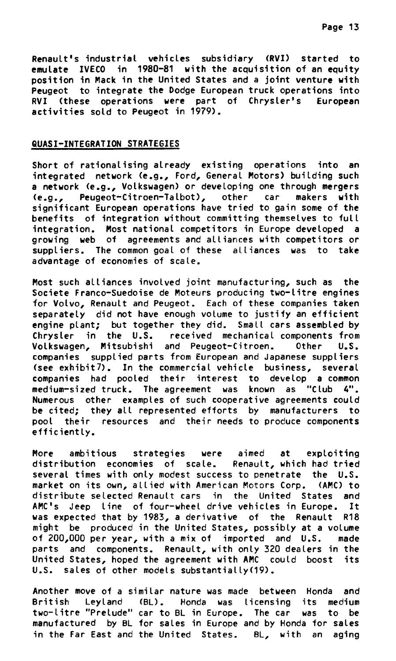**Renault's industrial vehicles subsidiary (RVI) started to emulate IVECO in 1980-81 with the acquisition of an equity position in Mack in the United States and a joint venture with Peugeot to integrate the Dodge European truck operations into RVI (these operations were part of Chrysler's European activities sold to Peugeot in 1979).** 

#### **QUASI-INTEGRATION STRATEGIES**

**Short of rationalising already existing operations into an integrated network (e.g., Ford, General Motors) building such a network (e.g., Volkswagen) or devetoping one through mergers (e.g., Peugeot-Citroen-Talbot), other car makers with significant European operations have tried to gain some of the benefits of integration without committing themselves to full integration. Most national competitors in Europe developed a growing web of agreements and alliances with competitors or suppliers. The common goal of these alliances was to take advantage of economies of scale.** 

**Most such alliances involved joint manufacturing, such as the Societe Franco-Suedoise de Moteurs producing two-litre engines for Volvo, Renault and Peugeot. Each of these companies taken separately did not have enough volume to justify an efficient engine plant; but together they did. Small cars assembled by Chrysler in the U.S. received mechanicat components from Votkswagen, Mitsubishi and Peugeot-Citroen. Other U.S. companies supplied parts from European and Japanese suppliers (see exhibit7). In the commercial vehicle business, several companies had pooled their interest to develop a common medium-sized truck. The agreement was known as "Club 4". Numerous other examples of such cooperative agreements could be cited; they all represented efforts by manufacturers to pool their resources and their needs to produce components efficiently.** 

**More ambitions strategies were aimed at exploiting**  distribution economies of scale. **several times with only modest success to penetrate the U.S. market on its own, allied with American Motors Corp. (AMC) to distribute selected Renault cars in the United States and AMC's Jeep line of four-wheel drive vehicles in Europe. It was expected that by 1983, a derivative of the Renault R18 might be produced in the United States, possibly at a volume of 200,000 per year, with a mix of imported and U.S. made parts and components. Renault, with only 320 dealers in the United States, hoped the agreement with AMC could boost its U.S. sales of other models substantially(19).** 

**Another move of a similar nature was made between Honda and British Leyland (BL). Honda was licensing its medium two-litre "Prelude" car to BL in Europe. The car was to be manufactured by BL for sales in Europe and by Honda for sales in the Far East and the United States. BL, with an aging**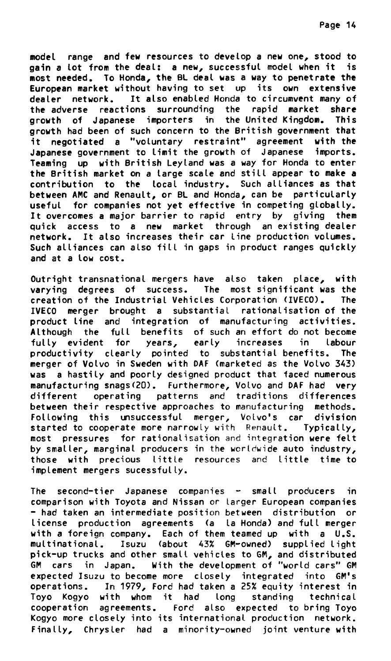**model range and few resources to develop a new one, stood to gain a lot from the deal: a new, successful model when it is most needed. To Honda, the BL deal was a way to penetrate the European market without having to set up its own extensive dealer network. It also enabled Honda to circumvent many of the adverse reactions surrounding the rapid market share growth of Japanese importera in the United Kingdom. This growth had been of such concern to the British government that it negotiated a "voluntary restreint" agreement with the Japanese government to limit the growth of Japanese imports. Teaming up with British Leyland vas a way for Honda to enter the British market on a large scale and still appear to make a contribution to the local industry. Such alliances as that between AMC and Renault, or BL and Honda, can be particularty usefut for companies not yet effective in competing globally. It overcomes a major barrier to rapîd entry by giving them quick access to a new market through an existing dealer network. It also increases their car fine production volumes. Such alliances can also fill in gaps in product ranges quickly and at a low cost.** 

**Outright transnational mergers have also taken place, with varying degrees of success. The most significant was the creation of the Industrial Vehicles Corporation (IVECO). The IVECO merger brought a substantiel rationalisation of the product line and integration of manufacturing activities. Although the full benefits of such an effort do not become fulty evident for years, early increases in labour productivity clearly pointed to substantiel benefits. The merger of Volvo in Sweden with DAF (marketed as the Volvo 343) vas a hastily and poorly designed product that faced numerous manufacturing snags(20). Furthermore, Volvo and DAF had very different operating patterns and traditions differences between their respective approaches to manufacturing methods. Foltowing this unsuccessful merger, Volvo's car division started to cooperate more narrowty with Renault. Typically, most pressures for rationalisation** and **integration were fett by smaller, marginal producers in the wcrtdwide auto industry, those with precious Little resources** and **Little time to implement mergers sucessfully.** 

The second-tier Japanese companies - small producers in **comparison with Toyota and Nissan or larger European companies - had taken an intermediate position between distribution or license production agreements (a la Honda) and full merger with a foreign company. Each of them teamed up with a U.S. multinational. Isuzu (about 43% GM-owned) supplied light pick-up trucks and other smalt vehictes to GM, and distributed GM cars in Japan. With the development of "world cars" GM expected Isuzu to become more closely integrated into GM's operations. In 1979, Ford had taken a 25% equity interest in Toyo Kogyo with whom it had long standing technical cooperation agreements. Ford also expected to bring Toyo Kogyo more closely into its international production network. Finally, Chrysler had a minority-owned joint venture with**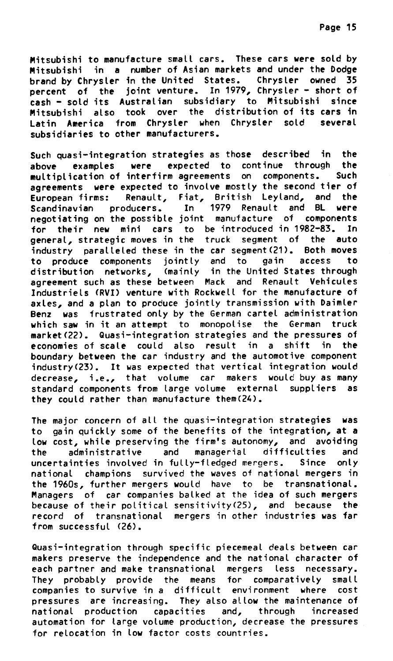**Mitsubishi to manufacture smatt cars. These cars were sold by Mitsubishi in a number of Asian markets and under the Dodge brand by Chrysler in the United States. Chrysler owned 35 percent of the joint venture. In 1979, Chrysler - short of cash - sold its Austratian subsidiary to Mitsubishi since Mitsubishi also took over the distribution of its cars in Latin America from Chrysler when Chrysler sold severat subsidiaries to other manufacturers.** 

**Such quasi-integration strategies as those described in the above examples were expected to continue through the**  multiplication of interfirm agreements on components. **agreements were expected to involve mostty the second tier of European firms: Renault, Fiat, British Leytand, and the**  Scandinavian producers. In **negotiating on the possible joint manufacture of components for their new mini cars to be introduced in 1982-83. In general, strategic moves in the truck segment of the auto industry paralleled these in the car segment(21). Both moves to produce components jointly and to gain access to distribution networks, (mainly in the United States through agreement such as these between Mack and Renault Vehicules Industriels (RVI) venture with Rockwell for the manufacture of axles, and a plan to produce jointly transmission with Daimler Benz was frustrated only by the German cartel administration which saw in it an attempt to monopolise the German truck market(22). Quasi-integration strategies and the pressures of economies of scale could also result in a shift in the boundary between the car industry and the automotive component industry(23). It was expected that vertical integration would decrease, i.e., that volume car makers would buy as many standard components from large volume externat suppliers as they could rather than manufacture them(24).** 

**The major concern of all the quasi-integration strategies was to gain quickly some of the benefits of the integration, at a low cost, white preserving the firm's autonomy, and avoiding the administrative and managerial difficulties and uncertainties involved in fully-fiedged** mergers. **Since only national champions survived the waves of national mergers in the 1960s, further mergers would have to be transnational. Managers of car companies balked at** the ides **of such mergers because of their political sensitivity(25), and because the record of transnational mergers in other industries was far from successful (26).** 

**Quasi-integration through specific piecemeal deals between car makers preserve the independence and the national character of each partner and make transnational mergers less necessary. They probabty provide the means for comparatively smatt companies to survive in a difficult environment where cost pressures are increasing. They also ailow the maintenance of national production capacities and, through increased automation for targe volume production, decrease the pressures for relocation in low factor** costs countries.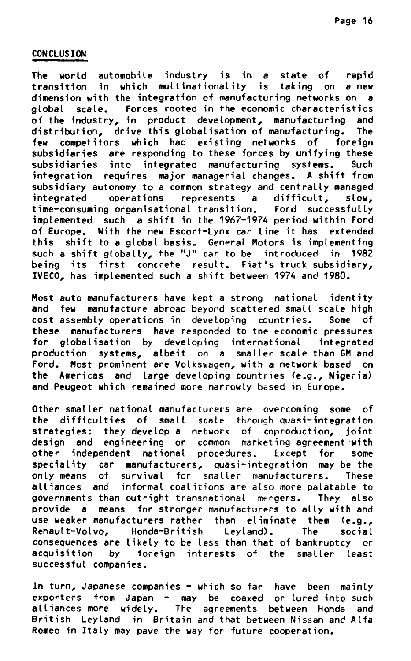# **CONCLUSION**

The world automobile industry is in a state of rapid transition in which multinationality is taking on a new dimension with the integration of manufacturing networks on a global scale. Forces rooted in the economic characteristics of the industry, in product development, manufacturing and distribution, drive this globalisation of manufacturing. **The** few competitors which had existing networks of foreign subsidiaries are responding to these forces by unifying these subsidiaries into integrated manufacturing systems. Such integration requires major managerial changes. A shift from subsidiary autonomy to a common strategy and centrally managed integrated operations represents a difficult, slow. time-consuming organisational transition. Ford successfully implemented such a shift in the 1967-1974 period within Ford of Europe. With the new Escort-Lynx car line it has extended this shift to a global basis. General Motors is implementing<br>such a shift globally, the "J" car to be introduced in 1982 being its first concrete result. Fiat's truck subsidiary, IVECO, has implemented such a shift between 1974 and 1980.

Most auto manufacturers have kept a strong national identity and few manufacture abroad beyond scattered small scale high cost assembly operations in developing countries. Some of these manufacturers have responded to the economic pressures for globalisation by developing international integrated production systems, albeit on a smaller scale than GM and Ford. Most prominent are Volkswagen, with a network based on the Americas and large developing countries (e.g., Nigeria) and Peugeot which remained more narrowly based in Europe.

Other smaller national manufacturers are overcoming some of the difficulties of small scale through quasi-integration strategies: they develop a network of coproduction, joint design and engineering or common marketing agreement with other independent national procedures. Except for some speciality car manufacturers, quasi-integration may be the only means of survival for smaller manufacturers. These alliances and informal coalitions are also more palatable to governments than outright transnational mergers. They also provide a means for stronger manufacturers to ally with and use weaker manufacturers rather than eliminate them (e.g., Renault-Volvo, Honda-British Leyland). The social consequences are likely to be less than that of bankruptcy or acquisition by foreign interests of the smaller least successful companies.

In turn, Japanese companies - which so far have been mainly exporters from Japan - may be coaxed or lured into such<br>alliances more widely. The agreements between Honda and British Leyland in Britain and that between Nissan and Alfa Romeo in Italy may pave the way for future cooperation.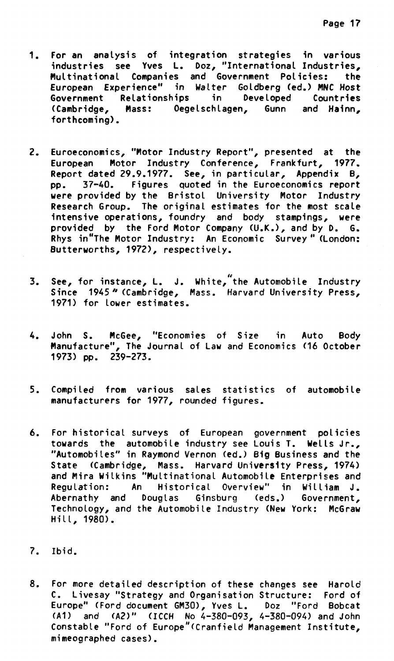- **1. For an analysis of integration stratégies in various industries see Yves L. Doz, "International Industries, Multinational Companies and Government Policies: the European Experience" in Walter Goldberg (ed.) MI« Host Government Retationships in Developed Countries (Cambridge, Mass: Oegelschlagen, Gunn and Hainn, forthcoming).**
- **2. Euroeconomics, "Motor Industry Report", presented at the European Motor Industry Conference, Frankfurt, 1977. Report dated 29.9.1977. See, in particular, Appendix B, pp. 37-40. Figures quoted in the Euroeconomics report were provided by the Bristol University Motor Industry Research Group. The original estimates for the most scale intensive operations, foundry and body stampings, were provided by the Ford Motor Company (U.K.), and by D. G. Rhys in"The Motor Industry: An Economic Survey" (London: Butterworths, 1972), respectivety.**
- **44 3. See, for instance, L. J. White, the Automobile Industry Since 1945"(Cambridge, Mass. Harvard University Press, 1971) for lower estimates.**
- **4. John S. McGee, "Economies of Size in Auto Body Manufacture", The Journal of Law and Economics (16 October 1973) pp. 239-273.**
- **5. Compiled from various sales statistics of automobile manufacturers for 1977, rounded figures.**
- **6. For historicat surveys of European government policies towards the automobile industry see Louis T. Wells Jr., "Automobiles" in Raymond Vernon (ed.) Big Business and the State (Cambridge, Mass. Harvard University Press, 1974) and Mira Wilkins "Multinational Automobile Enterprises and Regulation: An Historical Overview" in William J.**  Abernathy and Douglas Ginsburg (eds.) **Technology, and the Automobile Industry (New York: McGraw Hill, 1980).**
- **7. Ibid.**
- **8. For more detailed description of these changes see Harold C. Livesay "Strategy and Organisation Structure: Ford of Europe" (Ford document GM30), Yves L. Doz "Ford Bobcat (A1) and (A2)" (ICCH No 4-380-093, 4-380-094) and John Constable "Ford of Europe"(Cranfield Management Institute, mimeographed cases).**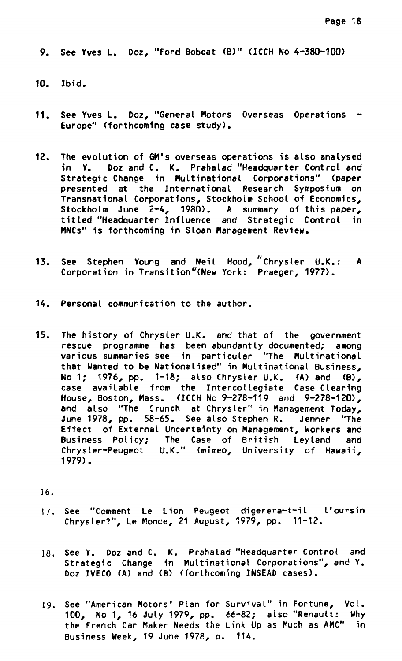**9. See Yves L. Doz, "Ford Bobcat (B)" (ICCH No 4-380-100)** 

- **10. Ibid.**
- **11. See Yves L. Doz, "General Motors Overseas Operations - Europe" (forthcoming case study).**
- **12. The evolution of GM's overseas operations is also analysed in Y. Doz and C. K. Prahalad "Headquarter Control and Strategic Change in Multinational Corporations" (paper presented at the International Research Symposium on Transnational Corporations, Stockholm School of Economics, Stockholm June 2-4, 1980). A summary of this paper, titled "Headquarter Influence and Strategic Control in MNCs" is forthcoming in Sloan Management Review.**
- **13. See Stephen Young and Neil Hood, "Chrysler U.K.: A**  Corporation in Transition"(New York: Praeger, 1977).
- **14. Personal communication to the author.**
- **15. The history of Chrysler U.K. and that of the government rescue programme has been abundantly documented; among various summaries see in particular "The Multinational that Wanted to be Nationalised" in Multinational Business, No 1; 1976, pp. 1-18; also Chrysler U.K. (A) and (B), case available from the Intercollegiate Case Clearing House, Boston, Mass. (ICCH No 9-278-119 and 9-278-120), and also "The Crunch at Chrysler" in Management Today, June 1978, pp. 58-65. See also Stephen R. Jenner "The Effect of External Uncertainty on Management, Workers and Business Policy; The Case of British Leyland and Chrysler-Peugeot U.K." (mimeo,** University **of Hawaii, 1979).**

16.

- **17. See "Comment Le Lion Peugeot digerera-t-il l'oursin Chrysler?", Le Monde, 21 August, 1979, pp. 11-12.**
- **18. See Y. Doz and C. K. Prahalad "Headquarter Control and Strategic Change in Multinational Corporations", and Y. Doz IVECO (A) and (8) (forthcoming INSEAD cases).**
- **19. See "American Motors' Plan for Survival" in Fortune, Vol. 100, No 1, 16 Juty 1979, pp. 66-82; also "Renault: Why the French Car Maker Needs the Link Up as Much as AMC" in Business Week, 19 June 1978, p. 114.**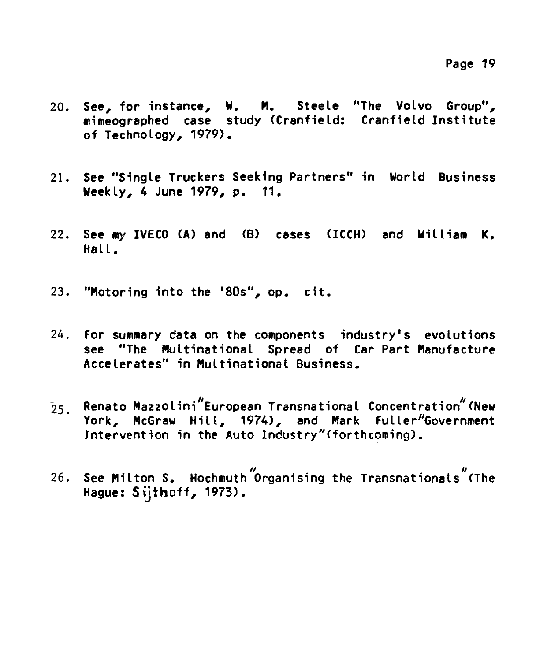- **20. See, for instance, W. M. Steele "The Volvo Group", mimeographed case study (Cranfield: Cranfield Institute of Technology, 1979).**
- **21. See "Single Truckers Seeking Partners" in World Business Weekly, 4 June 1979, p. 11.**
- **22. See my IVECO** (A) **and (B) cases (ICCH) and William K. Hall.**
- **23. "Motoring into the '80s", op. cit.**
- **24. For summary data on the components industry's evolutions see "The Multinational Spread of Car Part Manufacture Accelerates" in Multinational Business.**
- $25.$  Renato Mazzolini<sup>"</sup>European Transnational Concentration<sup>"</sup> (New **York, McGraw Hill, 1974), and Mark Fuller"Government Intervention in the Auto Industry"(forthcoming).**
- **/ 26. See Milton S. Hochmuth <sup>I</sup> Organising the Transnationals (The Hague: Siithoff, 1973).**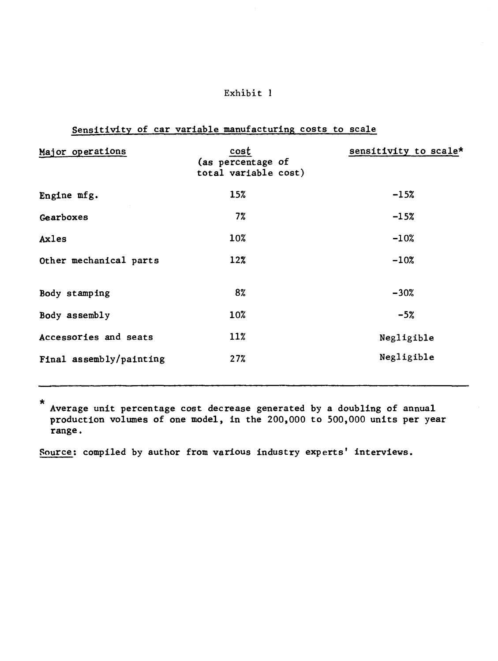# **Exhibit 1**

# **Sensitivity of car variable manufacturing costs to scale**

| Major operations        | cost<br>(as percentage of<br>total variable cost) | sensitivity to scale* |
|-------------------------|---------------------------------------------------|-----------------------|
| Engine mfg.             | 15%                                               | $-15%$                |
| Gearboxes               | 7%                                                | $-15%$                |
| Axles                   | 10%                                               | $-10%$                |
| Other mechanical parts  | 12%                                               | $-10%$                |
| Body stamping           | 8%                                                | $-30%$                |
| Body assembly           | 10%                                               | $-5%$                 |
| Accessories and seats   | 11%                                               | Negligible            |
| Final assembly/painting | 27%                                               | Negligible            |

\* **Average unit percentage cost decrease generated by a doubling of annual production volumes of one model, in the 200,000 to 500,000 units per year range.** 

**Source: compiled by author from various industry experts' interviews.**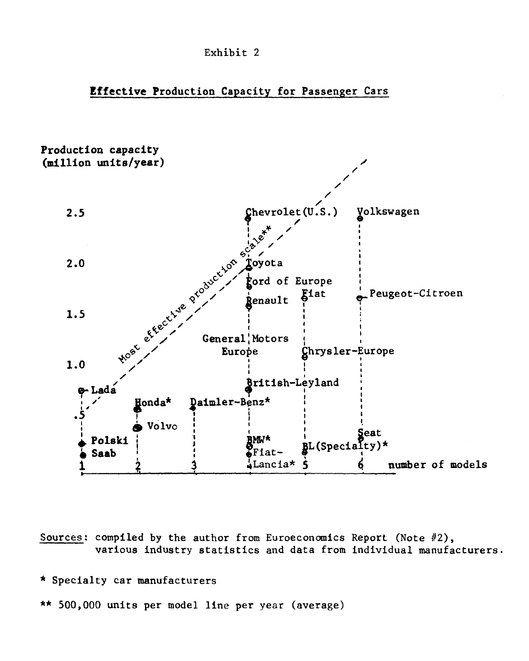

# **Effective Production Capacity for Passenger Cars**



Sources: compiled by the author from Euroeconomics Report (Note #2), various industry statistics and data from individual manufacturers.

#### \* Specialty car manufacturers

\*\* 500,000 units per model line per year (average)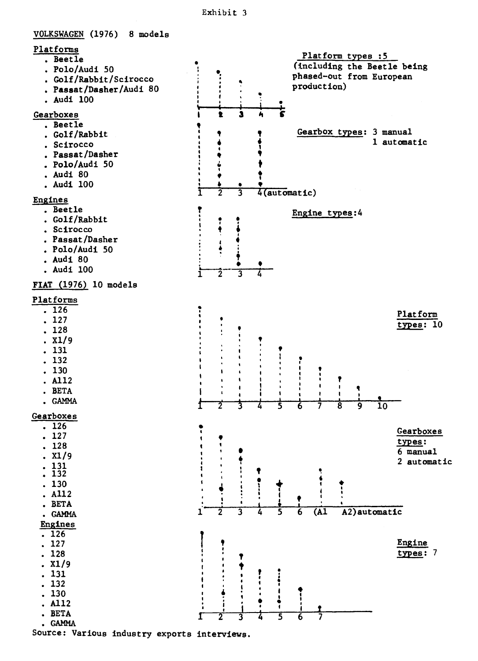

Source: Various industry exports interviews.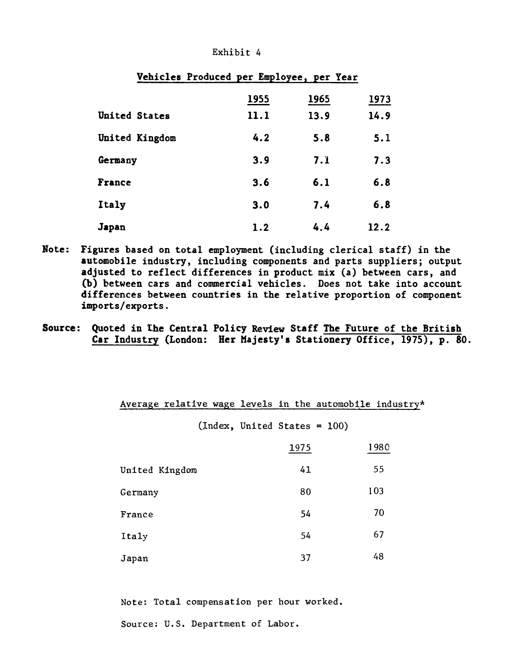|                | ---<br>---- |      |      |  |  |  |  |
|----------------|-------------|------|------|--|--|--|--|
|                | 1955        | 1965 | 1973 |  |  |  |  |
| United States  | 11.1        | 13.9 | 14.9 |  |  |  |  |
| United Kingdom | 4.2         | 5.8  | 5.1  |  |  |  |  |
| Germany        | 3.9         | 7.1  | 7.3  |  |  |  |  |
| France         | 3.6         | 6.1  | 6.8  |  |  |  |  |
| Italy          | 3.0         | 7.4  | 6.8  |  |  |  |  |
| Japan          | 1.2         | 4.4  | 12.2 |  |  |  |  |

#### Exhibit 4

**Vehicles Produced per Employee, per Year** 

- **Note: Figures based on total employment (including clerical staff) in the automobile industry, including components and parts suppliers; output adjusted to reflect differences in product mix (a) between cars, and (b) between cars and commercial vehicles. Does not take into account differences between countries in the relative proportion of component imports/exports.**
- **Source: Quoted in the Central Policy Review Staff The Future of the British Car Industry (London: Her Majesty's Stationery Office, 1975), p. 80.**

# Average relative wage levels in the automobile industry\*

(Index, United States = 100)

|                | 1975 | 1980 |
|----------------|------|------|
| United Kingdom | 41   | 55   |
| Germany        | 80   | 103  |
| France         | 54   | 70   |
| Italy          | 54   | 67   |
| Japan          | 37   | 48   |

Note: Total compensation per hour worked.

Source: U.S. Department of Labor.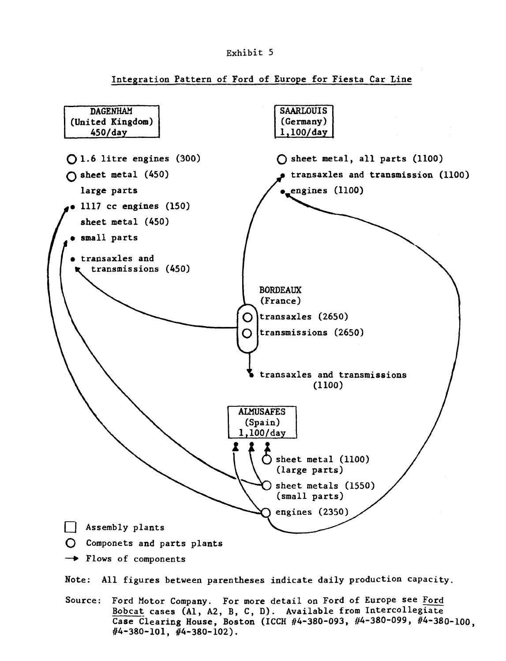

**Integration Pattern of Ford of Europe for Fiesta Car Line** 



**Bobcat cases (Al, A2, B, C, D). Availabie from Intercollegiate Case Clearing House, Boston (ICCH #4-380-093, #4-380-099, #4-380-100, #4-380-101, #4-380-102).**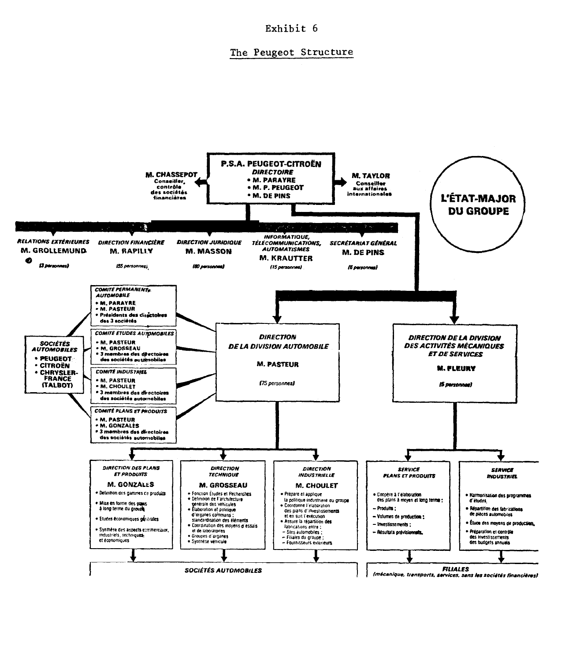Exhibit 6

#### The Peugeot Structure